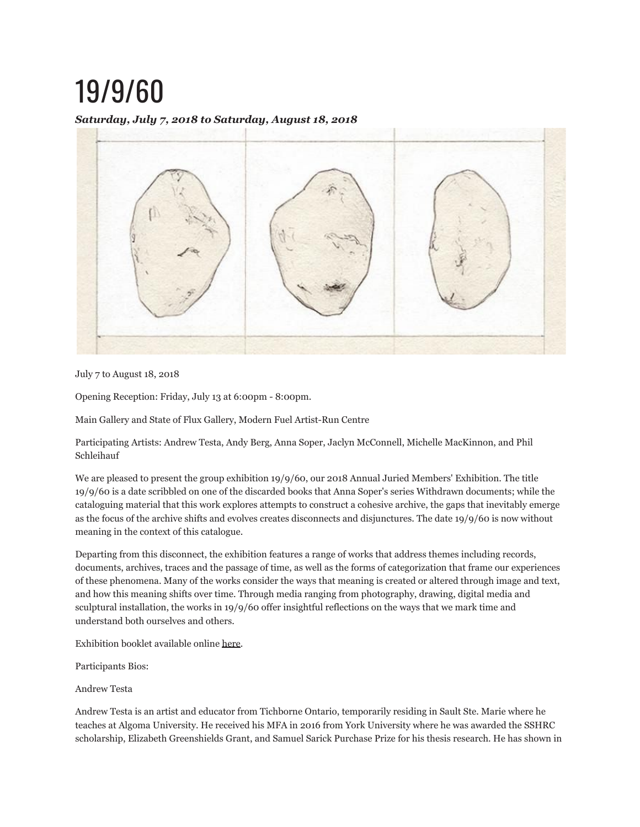# 19/9/60

## *Saturday, July 7, 2018 to Saturday, August 18, 2018*



July 7 to August 18, 2018

Opening Reception: Friday, July 13 at 6:00pm - 8:00pm.

Main Gallery and State of Flux Gallery, Modern Fuel Artist-Run Centre

Participating Artists: Andrew Testa, Andy Berg, Anna Soper, Jaclyn McConnell, Michelle MacKinnon, and Phil Schleihauf

We are pleased to present the group exhibition 19/9/60, our 2018 Annual Juried Members' Exhibition. The title 19/9/60 is a date scribbled on one of the discarded books that Anna Soper's series Withdrawn documents; while the cataloguing material that this work explores attempts to construct a cohesive archive, the gaps that inevitably emerge as the focus of the archive shifts and evolves creates disconnects and disjunctures. The date 19/9/60 is now without meaning in the context of this catalogue.

Departing from this disconnect, the exhibition features a range of works that address themes including records, documents, archives, traces and the passage of time, as well as the forms of categorization that frame our experiences of these phenomena. Many of the works consider the ways that meaning is created or altered through image and text, and how this meaning shifts over time. Through media ranging from photography, drawing, digital media and sculptural installation, the works in 19/9/60 offer insightful reflections on the ways that we mark time and understand both ourselves and others.

Exhibition booklet available online here.

Participants Bios:

Andrew Testa

Andrew Testa is an artist and educator from Tichborne Ontario, temporarily residing in Sault Ste. Marie where he teaches at Algoma University. He received his MFA in 2016 from York University where he was awarded the SSHRC scholarship, Elizabeth Greenshields Grant, and Samuel Sarick Purchase Prize for his thesis research. He has shown in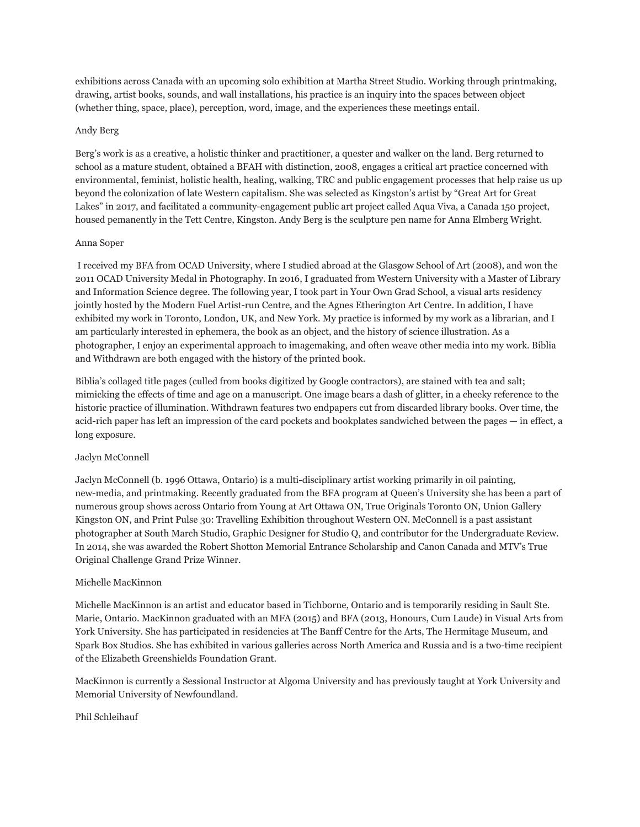exhibitions across Canada with an upcoming solo exhibition at Martha Street Studio. Working through printmaking, drawing, artist books, sounds, and wall installations, his practice is an inquiry into the spaces between object (whether thing, space, place), perception, word, image, and the experiences these meetings entail.

#### Andy Berg

Berg's work is as a creative, a holistic thinker and practitioner, a quester and walker on the land. Berg returned to school as a mature student, obtained a BFAH with distinction, 2008, engages a critical art practice concerned with environmental, feminist, holistic health, healing, walking, TRC and public engagement processes that help raise us up beyond the colonization of late Western capitalism. She was selected as Kingston's artist by "Great Art for Great Lakes" in 2017, and facilitated a community-engagement public art project called Aqua Viva, a Canada 150 project, housed pemanently in the Tett Centre, Kingston. Andy Berg is the sculpture pen name for Anna Elmberg Wright.

#### Anna Soper

 I received my BFA from OCAD University, where I studied abroad at the Glasgow School of Art (2008), and won the 2011 OCAD University Medal in Photography. In 2016, I graduated from Western University with a Master of Library and Information Science degree. The following year, I took part in Your Own Grad School, a visual arts residency jointly hosted by the Modern Fuel Artist-run Centre, and the Agnes Etherington Art Centre. In addition, I have exhibited my work in Toronto, London, UK, and New York. My practice is informed by my work as a librarian, and I am particularly interested in ephemera, the book as an object, and the history of science illustration. As a photographer, I enjoy an experimental approach to imagemaking, and often weave other media into my work. Biblia and Withdrawn are both engaged with the history of the printed book.

Biblia's collaged title pages (culled from books digitized by Google contractors), are stained with tea and salt; mimicking the effects of time and age on a manuscript. One image bears a dash of glitter, in a cheeky reference to the historic practice of illumination. Withdrawn features two endpapers cut from discarded library books. Over time, the acid-rich paper has left an impression of the card pockets and bookplates sandwiched between the pages — in effect, a long exposure.

### Jaclyn McConnell

Jaclyn McConnell (b. 1996 Ottawa, Ontario) is a multi-disciplinary artist working primarily in oil painting, new-media, and printmaking. Recently graduated from the BFA program at Queen's University she has been a part of numerous group shows across Ontario from Young at Art Ottawa ON, True Originals Toronto ON, Union Gallery Kingston ON, and Print Pulse 30: Travelling Exhibition throughout Western ON. McConnell is a past assistant photographer at South March Studio, Graphic Designer for Studio Q, and contributor for the Undergraduate Review. In 2014, she was awarded the Robert Shotton Memorial Entrance Scholarship and Canon Canada and MTV's True Original Challenge Grand Prize Winner.

#### Michelle MacKinnon

Michelle MacKinnon is an artist and educator based in Tichborne, Ontario and is temporarily residing in Sault Ste. Marie, Ontario. MacKinnon graduated with an MFA (2015) and BFA (2013, Honours, Cum Laude) in Visual Arts from York University. She has participated in residencies at The Banff Centre for the Arts, The Hermitage Museum, and Spark Box Studios. She has exhibited in various galleries across North America and Russia and is a two-time recipient of the Elizabeth Greenshields Foundation Grant.

MacKinnon is currently a Sessional Instructor at Algoma University and has previously taught at York University and Memorial University of Newfoundland.

#### Phil Schleihauf